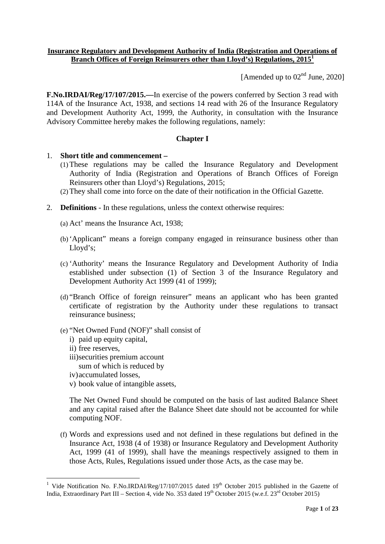### **Insurance Regulatory and Development Authority of India (Registration and Operations of Branch Offices of Foreign Reinsurers other than Lloyd's) Regulations, 2015<sup>1</sup>**

[Amended up to  $02<sup>nd</sup>$  June, 2020]

**F.No.IRDAI/Reg/17/107/2015.—**In exercise of the powers conferred by Section 3 read with 114A of the Insurance Act, 1938, and sections 14 read with 26 of the Insurance Regulatory and Development Authority Act, 1999, the Authority, in consultation with the Insurance Advisory Committee hereby makes the following regulations, namely:

# **Chapter I**

#### 1. **Short title and commencement –**

- (1)These regulations may be called the Insurance Regulatory and Development Authority of India (Registration and Operations of Branch Offices of Foreign Reinsurers other than Lloyd's) Regulations, 2015;
- (2)They shall come into force on the date of their notification in the Official Gazette.
- 2. **Definitions** In these regulations, unless the context otherwise requires:
	- (a) Act' means the Insurance Act, 1938;
	- (b) 'Applicant" means a foreign company engaged in reinsurance business other than Lloyd's;
	- (c) 'Authority' means the Insurance Regulatory and Development Authority of India established under subsection (1) of Section 3 of the Insurance Regulatory and Development Authority Act 1999 (41 of 1999);
	- (d) "Branch Office of foreign reinsurer" means an applicant who has been granted certificate of registration by the Authority under these regulations to transact reinsurance business;
	- (e) "Net Owned Fund (NOF)" shall consist of
		- i) paid up equity capital,
		- ii) free reserves,
		- iii)securities premium account
		- sum of which is reduced by
		- iv)accumulated losses,
		- v) book value of intangible assets,

The Net Owned Fund should be computed on the basis of last audited Balance Sheet and any capital raised after the Balance Sheet date should not be accounted for while computing NOF.

(f) Words and expressions used and not defined in these regulations but defined in the Insurance Act, 1938 (4 of 1938) or Insurance Regulatory and Development Authority Act, 1999 (41 of 1999), shall have the meanings respectively assigned to them in those Acts, Rules, Regulations issued under those Acts, as the case may be.

<sup>&</sup>lt;sup>1</sup> Vide Notification No. F.No.IRDAI/Reg/17/107/2015 dated  $19<sup>th</sup>$  October 2015 published in the Gazette of India, Extraordinary Part III – Section 4, vide No. 353 dated 19<sup>th</sup> October 2015 (w.e.f. 23<sup>rd</sup> October 2015)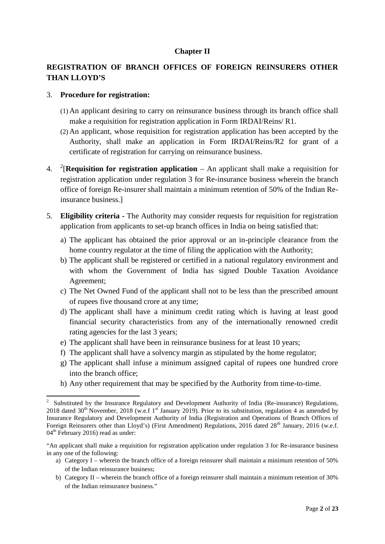## **Chapter II**

# **REGISTRATION OF BRANCH OFFICES OF FOREIGN REINSURERS OTHER THAN LLOYD'S**

#### 3. **Procedure for registration:**

- (1) An applicant desiring to carry on reinsurance business through its branch office shall make a requisition for registration application in Form IRDAI/Reins/ R1.
- (2) An applicant, whose requisition for registration application has been accepted by the Authority, shall make an application in Form IRDAI/Reins/R2 for grant of a certificate of registration for carrying on reinsurance business.
- 4. <sup>2</sup> [**Requisition for registration application** An applicant shall make a requisition for registration application under regulation 3 for Re-insurance business wherein the branch office of foreign Re-insurer shall maintain a minimum retention of 50% of the Indian Reinsurance business.]
- 5. **Eligibility criteria -** The Authority may consider requests for requisition for registration application from applicants to set-up branch offices in India on being satisfied that:
	- a) The applicant has obtained the prior approval or an in-principle clearance from the home country regulator at the time of filing the application with the Authority;
	- b) The applicant shall be registered or certified in a national regulatory environment and with whom the Government of India has signed Double Taxation Avoidance Agreement;
	- c) The Net Owned Fund of the applicant shall not to be less than the prescribed amount of rupees five thousand crore at any time;
	- d) The applicant shall have a minimum credit rating which is having at least good financial security characteristics from any of the internationally renowned credit rating agencies for the last 3 years;
	- e) The applicant shall have been in reinsurance business for at least 10 years;
	- f) The applicant shall have a solvency margin as stipulated by the home regulator;
	- g) The applicant shall infuse a minimum assigned capital of rupees one hundred crore into the branch office;
	- h) Any other requirement that may be specified by the Authority from time-to-time.

- a) Category I wherein the branch office of a foreign reinsurer shall maintain a minimum retention of 50% of the Indian reinsurance business;
- b) Category II wherein the branch office of a foreign reinsurer shall maintain a minimum retention of 30% of the Indian reinsurance business."

<sup>2</sup> Substituted by the Insurance Regulatory and Development Authority of India (Re-insurance) Regulations, 2018 dated 30<sup>th</sup> November, 2018 (w.e.f 1<sup>st</sup> January 2019). Prior to its substitution, regulation 4 as amended by Insurance Regulatory and Development Authority of India (Registration and Operations of Branch Offices of Foreign Reinsurers other than Lloyd's) (First Amendment) Regulations, 2016 dated 28<sup>th</sup> January, 2016 (w.e.f.  $04<sup>th</sup>$  February 2016) read as under:

<sup>&</sup>quot;An applicant shall make a requisition for registration application under regulation 3 for Re-insurance business in any one of the following: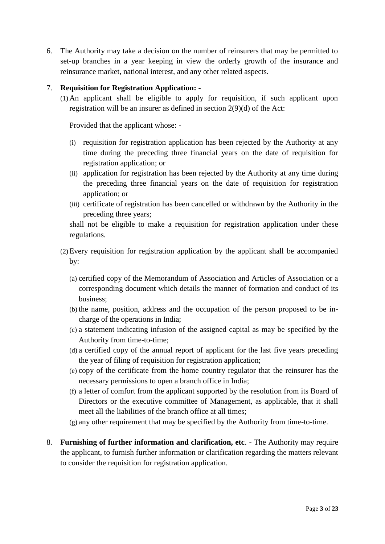6. The Authority may take a decision on the number of reinsurers that may be permitted to set-up branches in a year keeping in view the orderly growth of the insurance and reinsurance market, national interest, and any other related aspects.

## 7. **Requisition for Registration Application: -**

(1) An applicant shall be eligible to apply for requisition, if such applicant upon registration will be an insurer as defined in section 2(9)(d) of the Act:

Provided that the applicant whose: -

- (i) requisition for registration application has been rejected by the Authority at any time during the preceding three financial years on the date of requisition for registration application; or
- (ii) application for registration has been rejected by the Authority at any time during the preceding three financial years on the date of requisition for registration application; or
- (iii) certificate of registration has been cancelled or withdrawn by the Authority in the preceding three years;

shall not be eligible to make a requisition for registration application under these regulations.

- (2)Every requisition for registration application by the applicant shall be accompanied by:
	- (a) certified copy of the Memorandum of Association and Articles of Association or a corresponding document which details the manner of formation and conduct of its business;
	- (b) the name, position, address and the occupation of the person proposed to be in charge of the operations in India;
	- (c) a statement indicating infusion of the assigned capital as may be specified by the Authority from time-to-time;
	- (d) a certified copy of the annual report of applicant for the last five years preceding the year of filing of requisition for registration application;
	- (e) copy of the certificate from the home country regulator that the reinsurer has the necessary permissions to open a branch office in India;
	- (f) a letter of comfort from the applicant supported by the resolution from its Board of Directors or the executive committee of Management, as applicable, that it shall meet all the liabilities of the branch office at all times;
	- (g) any other requirement that may be specified by the Authority from time-to-time.
- 8. **Furnishing of further information and clarification, etc**. The Authority may require the applicant, to furnish further information or clarification regarding the matters relevant to consider the requisition for registration application.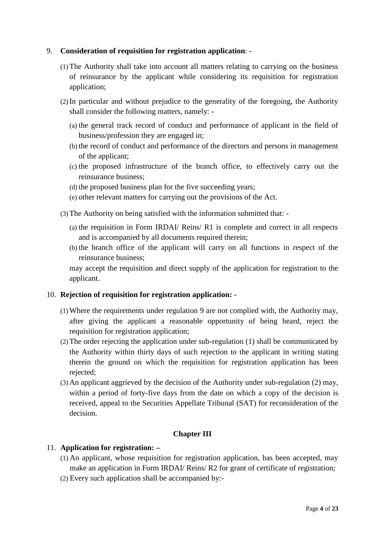## 9. **Consideration of requisition for registration application**: -

- (1)The Authority shall take into account all matters relating to carrying on the business of reinsurance by the applicant while considering its requisition for registration application;
- (2) In particular and without prejudice to the generality of the foregoing, the Authority shall consider the following matters, namely: -
	- (a) the general track record of conduct and performance of applicant in the field of business/profession they are engaged in;
	- (b) the record of conduct and performance of the directors and persons in management of the applicant;
	- (c) the proposed infrastructure of the branch office, to effectively carry out the reinsurance business;
	- (d) the proposed business plan for the five succeeding years;
	- (e) other relevant matters for carrying out the provisions of the Act.
- (3)The Authority on being satisfied with the information submitted that:
	- (a) the requisition in Form IRDAI/ Reins/ R1 is complete and correct in all respects and is accompanied by all documents required therein;
	- (b) the branch office of the applicant will carry on all functions in respect of the reinsurance business;

may accept the requisition and direct supply of the application for registration to the applicant.

#### 10. **Rejection of requisition for registration application: -**

- (1)Where the requirements under regulation 9 are not complied with, the Authority may, after giving the applicant a reasonable opportunity of being heard, reject the requisition for registration application;
- (2)The order rejecting the application under sub-regulation (1) shall be communicated by the Authority within thirty days of such rejection to the applicant in writing stating therein the ground on which the requisition for registration application has been rejected;
- (3) An applicant aggrieved by the decision of the Authority under sub-regulation (2) may, within a period of forty-five days from the date on which a copy of the decision is received, appeal to the Securities Appellate Tribunal (SAT) for reconsideration of the decision.

#### **Chapter III**

#### 11. **Application for registration: –**

- (1) An applicant, whose requisition for registration application, has been accepted, may make an application in Form IRDAI/ Reins/ R2 for grant of certificate of registration;
- (2) Every such application shall be accompanied by:-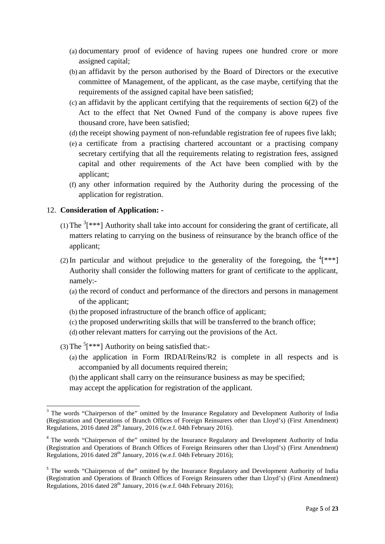- (a) documentary proof of evidence of having rupees one hundred crore or more assigned capital;
- (b) an affidavit by the person authorised by the Board of Directors or the executive committee of Management, of the applicant, as the case maybe, certifying that the requirements of the assigned capital have been satisfied;
- (c) an affidavit by the applicant certifying that the requirements of section 6(2) of the Act to the effect that Net Owned Fund of the company is above rupees five thousand crore, have been satisfied;
- (d) the receipt showing payment of non-refundable registration fee of rupees five lakh;
- (e) a certificate from a practising chartered accountant or a practising company secretary certifying that all the requirements relating to registration fees, assigned capital and other requirements of the Act have been complied with by the applicant;
- (f) any other information required by the Authority during the processing of the application for registration.

#### 12. **Consideration of Application: -**

- (1) The  $3$ [\*\*\*] Authority shall take into account for considering the grant of certificate, all matters relating to carrying on the business of reinsurance by the branch office of the applicant;
- (2) In particular and without prejudice to the generality of the foregoing, the  $(4^{**})$ Authority shall consider the following matters for grant of certificate to the applicant, namely:-
	- (a) the record of conduct and performance of the directors and persons in management of the applicant;
	- (b) the proposed infrastructure of the branch office of applicant;
	- (c) the proposed underwriting skills that will be transferred to the branch office;
	- (d) other relevant matters for carrying out the provisions of the Act.
- (3) The  $5$ [\*\*\*] Authority on being satisfied that:-
	- (a) the application in Form IRDAI/Reins/R2 is complete in all respects and is accompanied by all documents required therein;
	- (b) the applicant shall carry on the reinsurance business as may be specified;
	- may accept the application for registration of the applicant.

<sup>&</sup>lt;sup>3</sup> The words "Chairperson of the" omitted by the Insurance Regulatory and Development Authority of India (Registration and Operations of Branch Offices of Foreign Reinsurers other than Lloyd's) (First Amendment) Regulations,  $2016$  dated  $28<sup>th</sup>$  January,  $2016$  (w.e.f. 04th February 2016).

<sup>&</sup>lt;sup>4</sup> The words "Chairperson of the" omitted by the Insurance Regulatory and Development Authority of India (Registration and Operations of Branch Offices of Foreign Reinsurers other than Lloyd's) (First Amendment) Regulations, 2016 dated  $28<sup>th</sup>$  January, 2016 (w.e.f. 04th February 2016);

<sup>&</sup>lt;sup>5</sup> The words "Chairperson of the" omitted by the Insurance Regulatory and Development Authority of India (Registration and Operations of Branch Offices of Foreign Reinsurers other than Lloyd's) (First Amendment) Regulations, 2016 dated  $28<sup>th</sup>$  January, 2016 (w.e.f. 04th February 2016);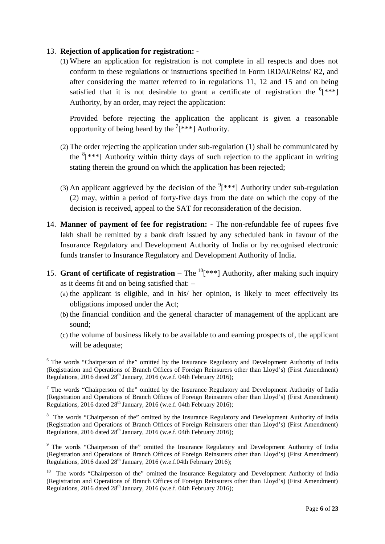## 13. **Rejection of application for registration: -**

(1) Where an application for registration is not complete in all respects and does not conform to these regulations or instructions specified in Form IRDAI/Reins/ R2, and after considering the matter referred to in regulations 11, 12 and 15 and on being satisfied that it is not desirable to grant a certificate of registration the  ${}^{6}$ [\*\*\*] Authority, by an order, may reject the application:

Provided before rejecting the application the applicant is given a reasonable opportunity of being heard by the  $7$ [\*\*\*] Authority.

- (2) The order rejecting the application under sub-regulation (1) shall be communicated by the  $8$ [\*\*\*] Authority within thirty days of such rejection to the applicant in writing stating therein the ground on which the application has been rejected;
- (3) An applicant aggrieved by the decision of the  $(3)$ <sup>\*\*\*</sup>] Authority under sub-regulation (2) may, within a period of forty-five days from the date on which the copy of the decision is received, appeal to the SAT for reconsideration of the decision.
- 14. **Manner of payment of fee for registration:** The non-refundable fee of rupees five lakh shall be remitted by a bank draft issued by any scheduled bank in favour of the Insurance Regulatory and Development Authority of India or by recognised electronic funds transfer to Insurance Regulatory and Development Authority of India.
- 15. **Grant of certificate of registration** The  ${}^{10}$ [\*\*\*] Authority, after making such inquiry as it deems fit and on being satisfied that: –
	- (a) the applicant is eligible, and in his/ her opinion, is likely to meet effectively its obligations imposed under the Act;
	- (b) the financial condition and the general character of management of the applicant are sound;
	- (c) the volume of business likely to be available to and earning prospects of, the applicant will be adequate:

<sup>6</sup> The words "Chairperson of the" omitted by the Insurance Regulatory and Development Authority of India (Registration and Operations of Branch Offices of Foreign Reinsurers other than Lloyd's) (First Amendment) Regulations, 2016 dated 28<sup>th</sup> January, 2016 (w.e.f. 04th February 2016);

 $<sup>7</sup>$  The words "Chairperson of the" omitted by the Insurance Regulatory and Development Authority of India</sup> (Registration and Operations of Branch Offices of Foreign Reinsurers other than Lloyd's) (First Amendment) Regulations, 2016 dated 28<sup>th</sup> January, 2016 (w.e.f. 04th February 2016);

<sup>&</sup>lt;sup>8</sup> The words "Chairperson of the" omitted by the Insurance Regulatory and Development Authority of India (Registration and Operations of Branch Offices of Foreign Reinsurers other than Lloyd's) (First Amendment) Regulations, 2016 dated  $28<sup>th</sup>$  January, 2016 (w.e.f. 04th February 2016);

<sup>&</sup>lt;sup>9</sup> The words "Chairperson of the" omitted the Insurance Regulatory and Development Authority of India (Registration and Operations of Branch Offices of Foreign Reinsurers other than Lloyd's) (First Amendment) Regulations, 2016 dated 28<sup>th</sup> January, 2016 (w.e.f.04th February 2016);

<sup>&</sup>lt;sup>10</sup> The words "Chairperson of the" omitted the Insurance Regulatory and Development Authority of India (Registration and Operations of Branch Offices of Foreign Reinsurers other than Lloyd's) (First Amendment) Regulations, 2016 dated 28<sup>th</sup> January, 2016 (w.e.f. 04th February 2016);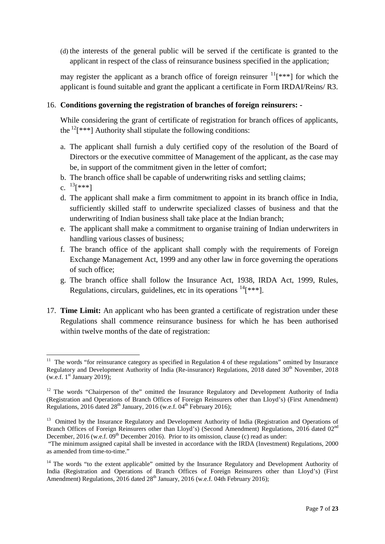(d) the interests of the general public will be served if the certificate is granted to the applicant in respect of the class of reinsurance business specified in the application;

may register the applicant as a branch office of foreign reinsurer  $\frac{11}{x^{*}}$  for which the applicant is found suitable and grant the applicant a certificate in Form IRDAI/Reins/ R3.

## 16. **Conditions governing the registration of branches of foreign reinsurers: -**

While considering the grant of certificate of registration for branch offices of applicants, the  $12$ [\*\*\*] Authority shall stipulate the following conditions:

- a. The applicant shall furnish a duly certified copy of the resolution of the Board of Directors or the executive committee of Management of the applicant, as the case may be, in support of the commitment given in the letter of comfort;
- b. The branch office shall be capable of underwriting risks and settling claims;
- c.  $^{13}[***]$
- d. The applicant shall make a firm commitment to appoint in its branch office in India, sufficiently skilled staff to underwrite specialized classes of business and that the underwriting of Indian business shall take place at the Indian branch;
- e. The applicant shall make a commitment to organise training of Indian underwriters in handling various classes of business;
- f. The branch office of the applicant shall comply with the requirements of Foreign Exchange Management Act, 1999 and any other law in force governing the operations of such office;
- g. The branch office shall follow the Insurance Act, 1938, IRDA Act, 1999, Rules, Regulations, circulars, guidelines, etc in its operations  $14$ [\*\*\*].
- 17. **Time Limit:** An applicant who has been granted a certificate of registration under these Regulations shall commence reinsurance business for which he has been authorised within twelve months of the date of registration:

 $11$  The words "for reinsurance category as specified in Regulation 4 of these regulations" omitted by Insurance Regulatory and Development Authority of India (Re-insurance) Regulations, 2018 dated  $30<sup>th</sup>$  November, 2018  $(w.e.f. 1<sup>st</sup> January 2019);$ 

<sup>&</sup>lt;sup>12</sup> The words "Chairperson of the" omitted the Insurance Regulatory and Development Authority of India (Registration and Operations of Branch Offices of Foreign Reinsurers other than Lloyd's) (First Amendment) Regulations, 2016 dated  $28<sup>th</sup>$  January, 2016 (w.e.f. 04<sup>th</sup> February 2016);

<sup>&</sup>lt;sup>13</sup> Omitted by the Insurance Regulatory and Development Authority of India (Registration and Operations of Branch Offices of Foreign Reinsurers other than Lloyd's) (Second Amendment) Regulations, 2016 dated 02<sup>nd</sup> December, 2016 (w.e.f. 09<sup>th</sup> December 2016). Prior to its omission, clause (c) read as under:

<sup>&</sup>quot;The minimum assigned capital shall be invested in accordance with the IRDA (Investment) Regulations, 2000 as amended from time-to-time."

<sup>&</sup>lt;sup>14</sup> The words "to the extent applicable" omitted by the Insurance Regulatory and Development Authority of India (Registration and Operations of Branch Offices of Foreign Reinsurers other than Lloyd's) (First Amendment) Regulations, 2016 dated 28<sup>th</sup> January, 2016 (w.e.f. 04th February 2016);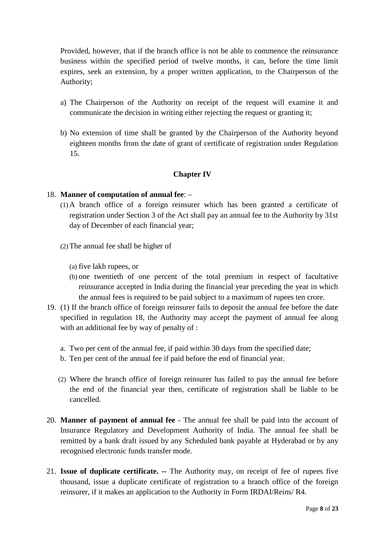Provided, however, that if the branch office is not be able to commence the reinsurance business within the specified period of twelve months, it can, before the time limit expires, seek an extension, by a proper written application, to the Chairperson of the Authority;

- a) The Chairperson of the Authority on receipt of the request will examine it and communicate the decision in writing either rejecting the request or granting it;
- b) No extension of time shall be granted by the Chairperson of the Authority beyond eighteen months from the date of grant of certificate of registration under Regulation 15.

# **Chapter IV**

#### 18. **Manner of computation of annual fee**: –

- (1) A branch office of a foreign reinsurer which has been granted a certificate of registration under Section 3 of the Act shall pay an annual fee to the Authority by 31st day of December of each financial year;
- (2)The annual fee shall be higher of
	- (a) five lakh rupees, or
	- (b) one twentieth of one percent of the total premium in respect of facultative reinsurance accepted in India during the financial year preceding the year in which the annual fees is required to be paid subject to a maximum of rupees ten crore.
- 19. (1) If the branch office of foreign reinsurer fails to deposit the annual fee before the date specified in regulation 18, the Authority may accept the payment of annual fee along with an additional fee by way of penalty of :
	- a. Two per cent of the annual fee, if paid within 30 days from the specified date;
	- b. Ten per cent of the annual fee if paid before the end of financial year.
	- (2) Where the branch office of foreign reinsurer has failed to pay the annual fee before the end of the financial year then, certificate of registration shall be liable to be cancelled.
- 20. **Manner of payment of annual fee** The annual fee shall be paid into the account of Insurance Regulatory and Development Authority of India. The annual fee shall be remitted by a bank draft issued by any Scheduled bank payable at Hyderabad or by any recognised electronic funds transfer mode.
- 21. **Issue of duplicate certificate. --** The Authority may, on receipt of fee of rupees five thousand, issue a duplicate certificate of registration to a branch office of the foreign reinsurer, if it makes an application to the Authority in Form IRDAI/Reins/ R4.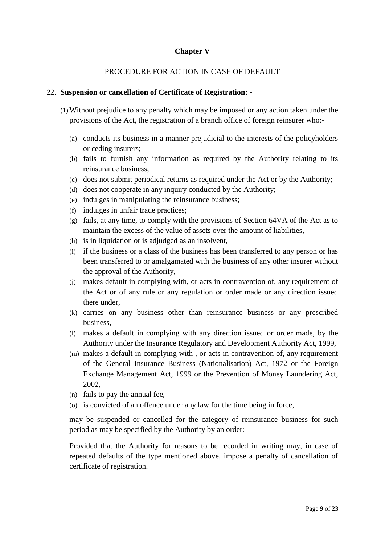# **Chapter V**

## PROCEDURE FOR ACTION IN CASE OF DEFAULT

#### 22. **Suspension or cancellation of Certificate of Registration: -**

- (1)Without prejudice to any penalty which may be imposed or any action taken under the provisions of the Act, the registration of a branch office of foreign reinsurer who:-
	- (a) conducts its business in a manner prejudicial to the interests of the policyholders or ceding insurers;
	- (b) fails to furnish any information as required by the Authority relating to its reinsurance business;
	- (c) does not submit periodical returns as required under the Act or by the Authority;
	- (d) does not cooperate in any inquiry conducted by the Authority;
	- (e) indulges in manipulating the reinsurance business;
	- (f) indulges in unfair trade practices;
	- (g) fails, at any time, to comply with the provisions of Section 64VA of the Act as to maintain the excess of the value of assets over the amount of liabilities,
	- (h) is in liquidation or is adjudged as an insolvent,
	- (i) if the business or a class of the business has been transferred to any person or has been transferred to or amalgamated with the business of any other insurer without the approval of the Authority,
	- (j) makes default in complying with, or acts in contravention of, any requirement of the Act or of any rule or any regulation or order made or any direction issued there under,
	- (k) carries on any business other than reinsurance business or any prescribed business,
	- (l) makes a default in complying with any direction issued or order made, by the Authority under the Insurance Regulatory and Development Authority Act, 1999,
	- (m) makes a default in complying with , or acts in contravention of, any requirement of the General Insurance Business (Nationalisation) Act, 1972 or the Foreign Exchange Management Act, 1999 or the Prevention of Money Laundering Act, 2002,
	- (n) fails to pay the annual fee,
	- (o) is convicted of an offence under any law for the time being in force,

may be suspended or cancelled for the category of reinsurance business for such period as may be specified by the Authority by an order:

Provided that the Authority for reasons to be recorded in writing may, in case of repeated defaults of the type mentioned above, impose a penalty of cancellation of certificate of registration.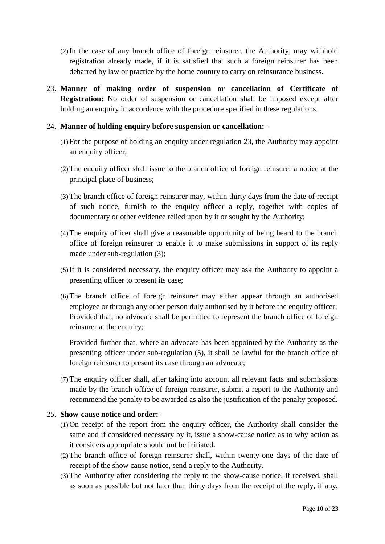- (2) In the case of any branch office of foreign reinsurer, the Authority, may withhold registration already made, if it is satisfied that such a foreign reinsurer has been debarred by law or practice by the home country to carry on reinsurance business.
- 23. **Manner of making order of suspension or cancellation of Certificate of Registration:** No order of suspension or cancellation shall be imposed except after holding an enquiry in accordance with the procedure specified in these regulations.

## 24. **Manner of holding enquiry before suspension or cancellation: -**

- (1) For the purpose of holding an enquiry under regulation 23, the Authority may appoint an enquiry officer;
- (2)The enquiry officer shall issue to the branch office of foreign reinsurer a notice at the principal place of business;
- (3)The branch office of foreign reinsurer may, within thirty days from the date of receipt of such notice, furnish to the enquiry officer a reply, together with copies of documentary or other evidence relied upon by it or sought by the Authority;
- (4)The enquiry officer shall give a reasonable opportunity of being heard to the branch office of foreign reinsurer to enable it to make submissions in support of its reply made under sub-regulation (3);
- (5) If it is considered necessary, the enquiry officer may ask the Authority to appoint a presenting officer to present its case;
- (6)The branch office of foreign reinsurer may either appear through an authorised employee or through any other person duly authorised by it before the enquiry officer: Provided that, no advocate shall be permitted to represent the branch office of foreign reinsurer at the enquiry;

Provided further that, where an advocate has been appointed by the Authority as the presenting officer under sub-regulation (5), it shall be lawful for the branch office of foreign reinsurer to present its case through an advocate;

(7)The enquiry officer shall, after taking into account all relevant facts and submissions made by the branch office of foreign reinsurer, submit a report to the Authority and recommend the penalty to be awarded as also the justification of the penalty proposed.

# 25. **Show-cause notice and order: -**

- (1) On receipt of the report from the enquiry officer, the Authority shall consider the same and if considered necessary by it, issue a show-cause notice as to why action as it considers appropriate should not be initiated.
- (2)The branch office of foreign reinsurer shall, within twenty-one days of the date of receipt of the show cause notice, send a reply to the Authority.
- (3)The Authority after considering the reply to the show-cause notice, if received, shall as soon as possible but not later than thirty days from the receipt of the reply, if any,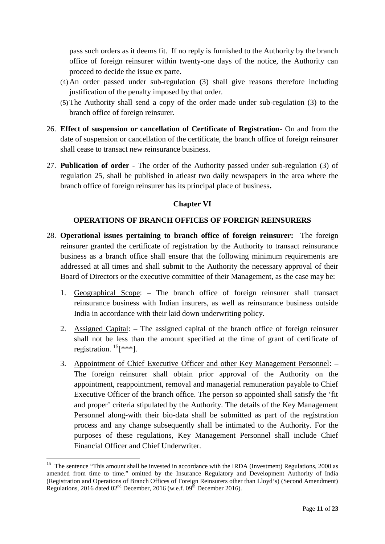pass such orders as it deems fit. If no reply is furnished to the Authority by the branch office of foreign reinsurer within twenty-one days of the notice, the Authority can proceed to decide the issue ex parte.

- (4) An order passed under sub-regulation (3) shall give reasons therefore including justification of the penalty imposed by that order.
- (5)The Authority shall send a copy of the order made under sub-regulation (3) to the branch office of foreign reinsurer.
- 26. **Effect of suspension or cancellation of Certificate of Registration** On and from the date of suspension or cancellation of the certificate, the branch office of foreign reinsurer shall cease to transact new reinsurance business.
- 27. **Publication of order -** The order of the Authority passed under sub-regulation (3) of regulation 25, shall be published in atleast two daily newspapers in the area where the branch office of foreign reinsurer has its principal place of business**.**

# **Chapter VI**

## **OPERATIONS OF BRANCH OFFICES OF FOREIGN REINSURERS**

- 28. **Operational issues pertaining to branch office of foreign reinsurer:** The foreign reinsurer granted the certificate of registration by the Authority to transact reinsurance business as a branch office shall ensure that the following minimum requirements are addressed at all times and shall submit to the Authority the necessary approval of their Board of Directors or the executive committee of their Management, as the case may be:
	- 1. Geographical Scope: The branch office of foreign reinsurer shall transact reinsurance business with Indian insurers, as well as reinsurance business outside India in accordance with their laid down underwriting policy.
	- 2. Assigned Capital: The assigned capital of the branch office of foreign reinsurer shall not be less than the amount specified at the time of grant of certificate of registration.  ${}^{15}$ [\*\*\*].
	- 3. Appointment of Chief Executive Officer and other Key Management Personnel: The foreign reinsurer shall obtain prior approval of the Authority on the appointment, reappointment, removal and managerial remuneration payable to Chief Executive Officer of the branch office. The person so appointed shall satisfy the 'fit and proper' criteria stipulated by the Authority. The details of the Key Management Personnel along-with their bio-data shall be submitted as part of the registration process and any change subsequently shall be intimated to the Authority. For the purposes of these regulations, Key Management Personnel shall include Chief Financial Officer and Chief Underwriter.

<sup>&</sup>lt;sup>15</sup> The sentence "This amount shall be invested in accordance with the IRDA (Investment) Regulations, 2000 as amended from time to time." omitted by the Insurance Regulatory and Development Authority of India (Registration and Operations of Branch Offices of Foreign Reinsurers other than Lloyd's) (Second Amendment) Regulations, 2016 dated  $02<sup>nd</sup>$  December, 2016 (w.e.f.  $09<sup>th</sup>$  December 2016).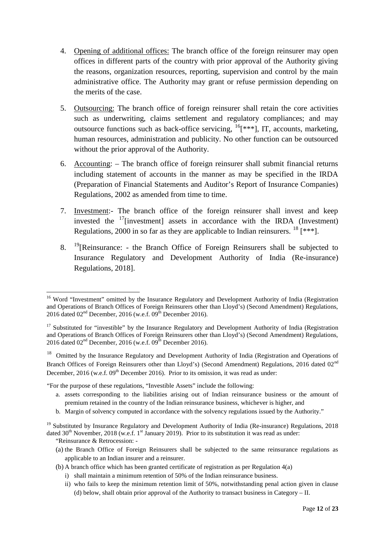- 4. Opening of additional offices: The branch office of the foreign reinsurer may open offices in different parts of the country with prior approval of the Authority giving the reasons, organization resources, reporting, supervision and control by the main administrative office. The Authority may grant or refuse permission depending on the merits of the case.
- 5. Outsourcing: The branch office of foreign reinsurer shall retain the core activities such as underwriting, claims settlement and regulatory compliances; and may outsource functions such as back-office servicing,  $^{16}$ [\*\*\*], IT, accounts, marketing, human resources, administration and publicity. No other function can be outsourced without the prior approval of the Authority.
- 6. Accounting: The branch office of foreign reinsurer shall submit financial returns including statement of accounts in the manner as may be specified in the IRDA (Preparation of Financial Statements and Auditor's Report of Insurance Companies) Regulations, 2002 as amended from time to time.
- 7. Investment:- The branch office of the foreign reinsurer shall invest and keep invested the  $17$ [investment] assets in accordance with the IRDA (Investment) Regulations, 2000 in so far as they are applicable to Indian reinsurers. <sup>18</sup> [\*\*\*].
- 8.  $^{19}$ [Reinsurance: the Branch Office of Foreign Reinsurers shall be subjected to Insurance Regulatory and Development Authority of India (Re-insurance) Regulations, 2018].

"For the purpose of these regulations, "Investible Assets" include the following:

- a. assets corresponding to the liabilities arising out of Indian reinsurance business or the amount of premium retained in the country of the Indian reinsurance business, whichever is higher, and
- b. Margin of solvency computed in accordance with the solvency regulations issued by the Authority."

<sup>19</sup> Substituted by Insurance Regulatory and Development Authority of India (Re-insurance) Regulations, 2018 dated  $30<sup>th</sup>$  November, 2018 (w.e.f. 1<sup>st</sup> January 2019). Prior to its substitution it was read as under:

"Reinsurance & Retrocession: -

- (a) the Branch Office of Foreign Reinsurers shall be subjected to the same reinsurance regulations as applicable to an Indian insurer and a reinsurer.
- (b) A branch office which has been granted certificate of registration as per Regulation 4(a)
	- i) shall maintain a minimum retention of 50% of the Indian reinsurance business.
	- ii) who fails to keep the minimum retention limit of 50%, notwithstanding penal action given in clause (d) below, shall obtain prior approval of the Authority to transact business in Category – II.

<sup>&</sup>lt;sup>16</sup> Word "Investment" omitted by the Insurance Regulatory and Development Authority of India (Registration and Operations of Branch Offices of Foreign Reinsurers other than Lloyd's) (Second Amendment) Regulations, 2016 dated  $02<sup>nd</sup>$  December, 2016 (w.e.f.  $09<sup>th</sup>$  December 2016).

<sup>&</sup>lt;sup>17</sup> Substituted for "investible" by the Insurance Regulatory and Development Authority of India (Registration and Operations of Branch Offices of Foreign Reinsurers other than Lloyd's) (Second Amendment) Regulations, 2016 dated  $02<sup>nd</sup>$  December, 2016 (w.e.f.  $09<sup>th</sup>$  December 2016).

<sup>&</sup>lt;sup>18</sup> Omitted by the Insurance Regulatory and Development Authority of India (Registration and Operations of Branch Offices of Foreign Reinsurers other than Lloyd's) (Second Amendment) Regulations, 2016 dated 02<sup>nd</sup> December,  $2016$  (w.e.f.  $09<sup>th</sup>$  December 2016). Prior to its omission, it was read as under: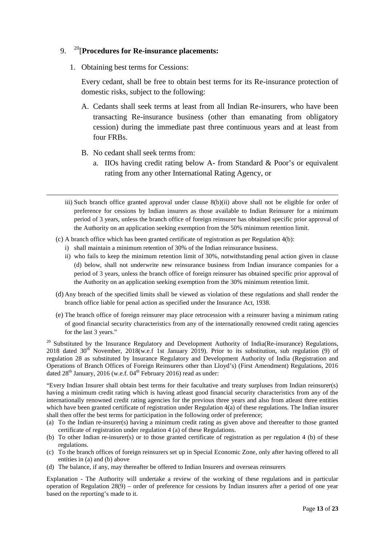### 9. <sup>20</sup>[**Procedures for Re-insurance placements:**

1. Obtaining best terms for Cessions:

Every cedant, shall be free to obtain best terms for its Re-insurance protection of domestic risks, subject to the following:

- A. Cedants shall seek terms at least from all Indian Re-insurers, who have been transacting Re-insurance business (other than emanating from obligatory cession) during the immediate past three continuous years and at least from four FRBs.
- B. No cedant shall seek terms from:
	- a. IIOs having credit rating below A- from Standard & Poor's or equivalent rating from any other International Rating Agency, or
- iii) Such branch office granted approval under clause 8(b)(ii) above shall not be eligible for order of preference for cessions by Indian insurers as those available to Indian Reinsurer for a minimum period of 3 years, unless the branch office of foreign reinsurer has obtained specific prior approval of the Authority on an application seeking exemption from the 50% minimum retention limit.
- (c) A branch office which has been granted certificate of registration as per Regulation 4(b):
	- i) shall maintain a minimum retention of 30% of the Indian reinsurance business.
	- ii) who fails to keep the minimum retention limit of 30%, notwithstanding penal action given in clause (d) below, shall not underwrite new reinsurance business from Indian insurance companies for a period of 3 years, unless the branch office of foreign reinsurer has obtained specific prior approval of the Authority on an application seeking exemption from the 30% minimum retention limit.
- (d) Any breach of the specified limits shall be viewed as violation of these regulations and shall render the branch office liable for penal action as specified under the Insurance Act, 1938.
- (e) The branch office of foreign reinsurer may place retrocession with a reinsurer having a minimum rating of good financial security characteristics from any of the internationally renowned credit rating agencies for the last 3 years."

<sup>20</sup> Substituted by the Insurance Regulatory and Development Authority of India(Re-insurance) Regulations, 2018 dated 30<sup>th</sup> November, 2018(w.e.f 1st January 2019). Prior to its substitution, sub regulation (9) of regulation 28 as substituted by Insurance Regulatory and Development Authority of India (Registration and Operations of Branch Offices of Foreign Reinsurers other than Lloyd's) (First Amendment) Regulations, 2016 dated  $28<sup>th</sup>$  January, 2016 (w.e.f. 04<sup>th</sup> February 2016) read as under:

"Every Indian Insurer shall obtain best terms for their facultative and treaty surpluses from Indian reinsurer(s) having a minimum credit rating which is having atleast good financial security characteristics from any of the internationally renowned credit rating agencies for the previous three years and also from atleast three entities which have been granted certificate of registration under Regulation 4(a) of these regulations. The Indian insurer shall then offer the best terms for participation in the following order of preference;

- (a) To the Indian re-insurer(s) having a minimum credit rating as given above and thereafter to those granted certificate of registration under regulation 4 (a) of these Regulations.
- (b) To other Indian re-insurer(s) or to those granted certificate of registration as per regulation 4 (b) of these regulations.
- (c) To the branch offices of foreign reinsurers set up in Special Economic Zone, only after having offered to all entities in (a) and (b) above
- (d) The balance, if any, may thereafter be offered to Indian Insurers and overseas reinsurers

Explanation - The Authority will undertake a review of the working of these regulations and in particular operation of Regulation 28(9) – order of preference for cessions by Indian insurers after a period of one year based on the reporting's made to it.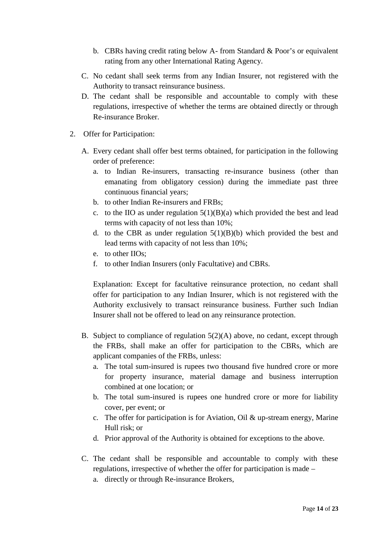- b. CBRs having credit rating below A- from Standard & Poor's or equivalent rating from any other International Rating Agency.
- C. No cedant shall seek terms from any Indian Insurer, not registered with the Authority to transact reinsurance business.
- D. The cedant shall be responsible and accountable to comply with these regulations, irrespective of whether the terms are obtained directly or through Re-insurance Broker.
- 2. Offer for Participation:
	- A. Every cedant shall offer best terms obtained, for participation in the following order of preference:
		- a. to Indian Re-insurers, transacting re-insurance business (other than emanating from obligatory cession) during the immediate past three continuous financial years;
		- b. to other Indian Re-insurers and FRBs;
		- c. to the IIO as under regulation  $5(1)(B)(a)$  which provided the best and lead terms with capacity of not less than 10%;
		- d. to the CBR as under regulation  $5(1)(B)(b)$  which provided the best and lead terms with capacity of not less than 10%;
		- e. to other IIOs;
		- f. to other Indian Insurers (only Facultative) and CBRs.

Explanation: Except for facultative reinsurance protection, no cedant shall offer for participation to any Indian Insurer, which is not registered with the Authority exclusively to transact reinsurance business. Further such Indian Insurer shall not be offered to lead on any reinsurance protection.

- B. Subject to compliance of regulation 5(2)(A) above, no cedant, except through the FRBs, shall make an offer for participation to the CBRs, which are applicant companies of the FRBs, unless:
	- a. The total sum-insured is rupees two thousand five hundred crore or more for property insurance, material damage and business interruption combined at one location; or
	- b. The total sum-insured is rupees one hundred crore or more for liability cover, per event; or
	- c. The offer for participation is for Aviation, Oil & up-stream energy, Marine Hull risk; or
	- d. Prior approval of the Authority is obtained for exceptions to the above.
- C. The cedant shall be responsible and accountable to comply with these regulations, irrespective of whether the offer for participation is made –
	- a. directly or through Re-insurance Brokers,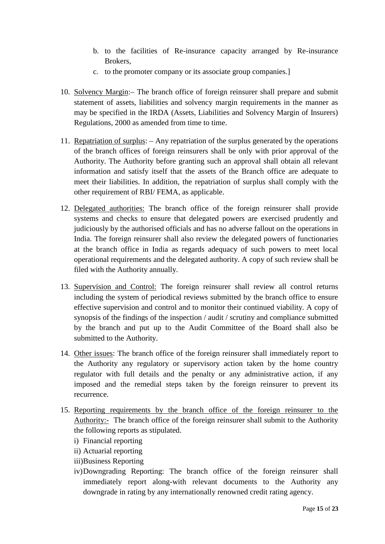- b. to the facilities of Re-insurance capacity arranged by Re-insurance Brokers,
- c. to the promoter company or its associate group companies.]
- 10. Solvency Margin:– The branch office of foreign reinsurer shall prepare and submit statement of assets, liabilities and solvency margin requirements in the manner as may be specified in the IRDA (Assets, Liabilities and Solvency Margin of Insurers) Regulations, 2000 as amended from time to time.
- 11. Repatriation of surplus: Any repatriation of the surplus generated by the operations of the branch offices of foreign reinsurers shall be only with prior approval of the Authority. The Authority before granting such an approval shall obtain all relevant information and satisfy itself that the assets of the Branch office are adequate to meet their liabilities. In addition, the repatriation of surplus shall comply with the other requirement of RBI/ FEMA, as applicable.
- 12. Delegated authorities: The branch office of the foreign reinsurer shall provide systems and checks to ensure that delegated powers are exercised prudently and judiciously by the authorised officials and has no adverse fallout on the operations in India. The foreign reinsurer shall also review the delegated powers of functionaries at the branch office in India as regards adequacy of such powers to meet local operational requirements and the delegated authority. A copy of such review shall be filed with the Authority annually.
- 13. Supervision and Control: The foreign reinsurer shall review all control returns including the system of periodical reviews submitted by the branch office to ensure effective supervision and control and to monitor their continued viability. A copy of synopsis of the findings of the inspection / audit / scrutiny and compliance submitted by the branch and put up to the Audit Committee of the Board shall also be submitted to the Authority.
- 14. Other issues: The branch office of the foreign reinsurer shall immediately report to the Authority any regulatory or supervisory action taken by the home country regulator with full details and the penalty or any administrative action, if any imposed and the remedial steps taken by the foreign reinsurer to prevent its recurrence.
- 15. Reporting requirements by the branch office of the foreign reinsurer to the Authority:- The branch office of the foreign reinsurer shall submit to the Authority the following reports as stipulated.
	- i) Financial reporting
	- ii) Actuarial reporting
	- iii)Business Reporting
	- iv)Downgrading Reporting: The branch office of the foreign reinsurer shall immediately report along-with relevant documents to the Authority any downgrade in rating by any internationally renowned credit rating agency.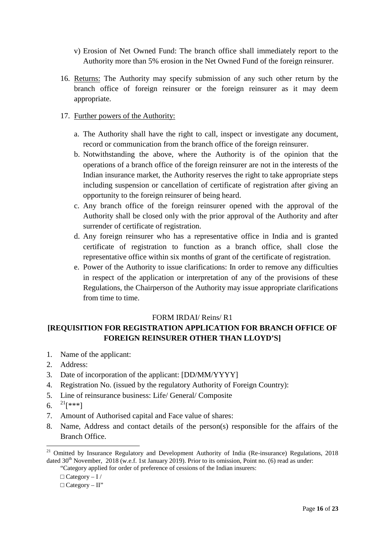- v) Erosion of Net Owned Fund: The branch office shall immediately report to the Authority more than 5% erosion in the Net Owned Fund of the foreign reinsurer.
- 16. Returns: The Authority may specify submission of any such other return by the branch office of foreign reinsurer or the foreign reinsurer as it may deem appropriate.

## 17. Further powers of the Authority:

- a. The Authority shall have the right to call, inspect or investigate any document, record or communication from the branch office of the foreign reinsurer.
- b. Notwithstanding the above, where the Authority is of the opinion that the operations of a branch office of the foreign reinsurer are not in the interests of the Indian insurance market, the Authority reserves the right to take appropriate steps including suspension or cancellation of certificate of registration after giving an opportunity to the foreign reinsurer of being heard.
- c. Any branch office of the foreign reinsurer opened with the approval of the Authority shall be closed only with the prior approval of the Authority and after surrender of certificate of registration.
- d. Any foreign reinsurer who has a representative office in India and is granted certificate of registration to function as a branch office, shall close the representative office within six months of grant of the certificate of registration.
- e. Power of the Authority to issue clarifications: In order to remove any difficulties in respect of the application or interpretation of any of the provisions of these Regulations, the Chairperson of the Authority may issue appropriate clarifications from time to time.

#### FORM IRDAI/ Reins/ R1

# **[REQUISITION FOR REGISTRATION APPLICATION FOR BRANCH OFFICE OF FOREIGN REINSURER OTHER THAN LLOYD'S]**

- 1. Name of the applicant:
- 2. Address:
- 3. Date of incorporation of the applicant: [DD/MM/YYYY]
- 4. Registration No. (issued by the regulatory Authority of Foreign Country):
- 5. Line of reinsurance business: Life/ General/ Composite
- 6. <sup>21</sup>[\*\*\*]
- 7. Amount of Authorised capital and Face value of shares:
- 8. Name, Address and contact details of the person(s) responsible for the affairs of the Branch Office.

 $21$  Omitted by Insurance Regulatory and Development Authority of India (Re-insurance) Regulations, 2018 dated 30<sup>th</sup> November, 2018 (w.e.f. 1st January 2019). Prior to its omission, Point no. (6) read as under:

<sup>&</sup>quot;Category applied for order of preference of cessions of the Indian insurers:

Category  $-1/$  $Category - II"$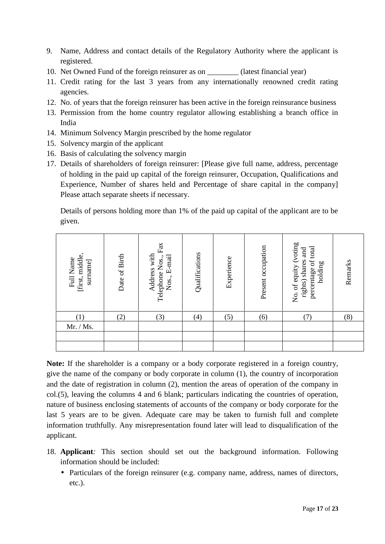- 9. Name, Address and contact details of the Regulatory Authority where the applicant is registered.
- 10. Net Owned Fund of the foreign reinsurer as on \_\_\_\_\_\_\_\_ (latest financial year)
- 11. Credit rating for the last 3 years from any internationally renowned credit rating agencies.
- 12. No. of years that the foreign reinsurer has been active in the foreign reinsurance business
- 13. Permission from the home country regulator allowing establishing a branch office in India
- 14. Minimum Solvency Margin prescribed by the home regulator
- 15. Solvency margin of the applicant
- 16. Basis of calculating the solvency margin
- 17. Details of shareholders of foreign reinsurer: [Please give full name, address, percentage of holding in the paid up capital of the foreign reinsurer, Occupation, Qualifications and Experience, Number of shares held and Percentage of share capital in the company] Please attach separate sheets if necessary.

Details of persons holding more than 1% of the paid up capital of the applicant are to be given.

| [first, middle,<br>Full Name<br>sumame | Date of Birth | $\mathop{\text{Fix}}$<br>Address with<br>Nos., E-mail<br>Telephone Nos., | Qualifications | Experience | Present occupation | No. of equity (voting<br>percentage of total<br>and<br>rights) shares<br>holding | Remarks |
|----------------------------------------|---------------|--------------------------------------------------------------------------|----------------|------------|--------------------|----------------------------------------------------------------------------------|---------|
| $\left(1\right)$                       | (2)           | (3)                                                                      | (4)            | (5)        | (6)                | $\left( 7\right)$                                                                | (8)     |
| Mr. / Ms.                              |               |                                                                          |                |            |                    |                                                                                  |         |
|                                        |               |                                                                          |                |            |                    |                                                                                  |         |
|                                        |               |                                                                          |                |            |                    |                                                                                  |         |

**Note:** If the shareholder is a company or a body corporate registered in a foreign country, give the name of the company or body corporate in column (1), the country of incorporation and the date of registration in column (2), mention the areas of operation of the company in col.(5), leaving the columns 4 and 6 blank; particulars indicating the countries of operation, nature of business enclosing statements of accounts of the company or body corporate for the last 5 years are to be given. Adequate care may be taken to furnish full and complete information truthfully. Any misrepresentation found later will lead to disqualification of the applicant.

- 18. **Applicant***:* This section should set out the background information. Following information should be included:
	- Particulars of the foreign reinsurer (e.g. company name, address, names of directors, etc.).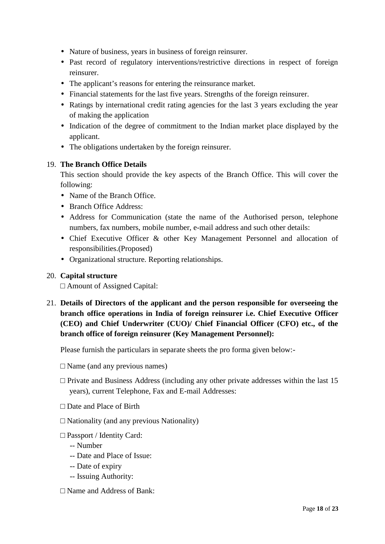- Nature of business, years in business of foreign reinsurer.
- Past record of regulatory interventions/restrictive directions in respect of foreign reinsurer.
- The applicant's reasons for entering the reinsurance market.
- Financial statements for the last five years. Strengths of the foreign reinsurer.
- Ratings by international credit rating agencies for the last 3 years excluding the year of making the application
- Indication of the degree of commitment to the Indian market place displayed by the applicant.
- The obligations undertaken by the foreign reinsurer.

# 19. **The Branch Office Details**

This section should provide the key aspects of the Branch Office. This will cover the following:

- Name of the Branch Office.
- Branch Office Address:
- Address for Communication (state the name of the Authorised person, telephone numbers, fax numbers, mobile number, e-mail address and such other details:
- Chief Executive Officer & other Key Management Personnel and allocation of responsibilities.(Proposed)
- Organizational structure. Reporting relationships.

# 20. **Capital structure**

Amount of Assigned Capital:

21. **Details of Directors of the applicant and the person responsible for overseeing the branch office operations in India of foreign reinsurer i.e. Chief Executive Officer (CEO) and Chief Underwriter (CUO)/ Chief Financial Officer (CFO) etc., of the branch office of foreign reinsurer (Key Management Personnel):**

Please furnish the particulars in separate sheets the pro forma given below:-

Name (and any previous names)

Private and Business Address (including any other private addresses within the last 15 years), current Telephone, Fax and E-mail Addresses:

Date and Place of Birth

Nationality (and any previous Nationality)

Passport / Identity Card:

- -- Number
- -- Date and Place of Issue:
- -- Date of expiry
- -- Issuing Authority:

Name and Address of Bank: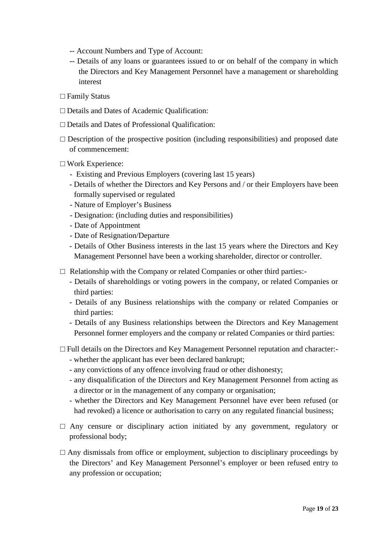- -- Account Numbers and Type of Account:
- -- Details of any loans or guarantees issued to or on behalf of the company in which the Directors and Key Management Personnel have a management or shareholding interest

Family Status

Details and Dates of Academic Qualification:

Details and Dates of Professional Qualification:

Description of the prospective position (including responsibilities) and proposed date of commencement:

Work Experience:

- Existing and Previous Employers (covering last 15 years)
- Details of whether the Directors and Key Persons and / or their Employers have been formally supervised or regulated
- Nature of Employer's Business
- Designation: (including duties and responsibilities)
- Date of Appointment
- Date of Resignation/Departure
- Details of Other Business interests in the last 15 years where the Directors and Key Management Personnel have been a working shareholder, director or controller.

Relationship with the Company or related Companies or other third parties:-

- Details of shareholdings or voting powers in the company, or related Companies or third parties:
- Details of any Business relationships with the company or related Companies or third parties:
- Details of any Business relationships between the Directors and Key Management Personnel former employers and the company or related Companies or third parties:

Full details on the Directors and Key Management Personnel reputation and character:-

- whether the applicant has ever been declared bankrupt;
- any convictions of any offence involving fraud or other dishonesty;
- any disqualification of the Directors and Key Management Personnel from acting as a director or in the management of any company or organisation;
- whether the Directors and Key Management Personnel have ever been refused (or had revoked) a licence or authorisation to carry on any regulated financial business;

Any censure or disciplinary action initiated by any government, regulatory or professional body;

Any dismissals from office or employment, subjection to disciplinary proceedings by the Directors' and Key Management Personnel's employer or been refused entry to any profession or occupation;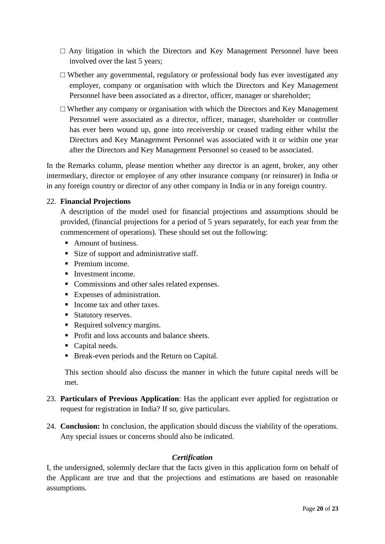Any litigation in which the Directors and Key Management Personnel have been involved over the last 5 years;

Whether any governmental, regulatory or professional body has ever investigated any employer, company or organisation with which the Directors and Key Management Personnel have been associated as a director, officer, manager or shareholder;

Whether any company or organisation with which the Directors and Key Management Personnel were associated as a director, officer, manager, shareholder or controller has ever been wound up, gone into receivership or ceased trading either whilst the Directors and Key Management Personnel was associated with it or within one year after the Directors and Key Management Personnel so ceased to be associated.

In the Remarks column, please mention whether any director is an agent, broker, any other intermediary, director or employee of any other insurance company (or reinsurer) in India or in any foreign country or director of any other company in India or in any foreign country.

## 22. **Financial Projections**

A description of the model used for financial projections and assumptions should be provided, (financial projections for a period of 5 years separately, for each year from the commencement of operations). These should set out the following:

- Amount of business.
- Size of support and administrative staff.
- Premium income.
- Investment income.
- Commissions and other sales related expenses.
- Expenses of administration.
- Income tax and other taxes.
- Statutory reserves.
- Required solvency margins.
- Profit and loss accounts and balance sheets.
- Capital needs.
- Break-even periods and the Return on Capital.

This section should also discuss the manner in which the future capital needs will be met.

- 23. **Particulars of Previous Application**: Has the applicant ever applied for registration or request for registration in India? If so, give particulars.
- 24. **Conclusion:** In conclusion, the application should discuss the viability of the operations. Any special issues or concerns should also be indicated.

# *Certification*

I, the undersigned, solemnly declare that the facts given in this application form on behalf of the Applicant are true and that the projections and estimations are based on reasonable assumptions.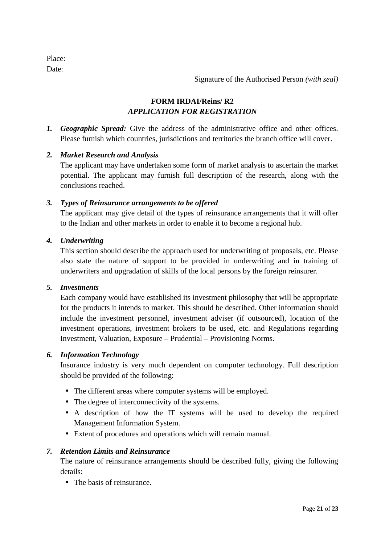Place: Date:

Signature of the Authorised Person *(with seal)*

# **FORM IRDAI/Reins/ R2** *APPLICATION FOR REGISTRATION*

*1. Geographic Spread:* Give the address of the administrative office and other offices. Please furnish which countries, jurisdictions and territories the branch office will cover.

# *2. Market Research and Analysis*

The applicant may have undertaken some form of market analysis to ascertain the market potential. The applicant may furnish full description of the research, along with the conclusions reached.

## *3. Types of Reinsurance arrangements to be offered*

The applicant may give detail of the types of reinsurance arrangements that it will offer to the Indian and other markets in order to enable it to become a regional hub.

#### *4. Underwriting*

This section should describe the approach used for underwriting of proposals, etc. Please also state the nature of support to be provided in underwriting and in training of underwriters and upgradation of skills of the local persons by the foreign reinsurer.

#### *5. Investments*

Each company would have established its investment philosophy that will be appropriate for the products it intends to market. This should be described. Other information should include the investment personnel, investment adviser (if outsourced), location of the investment operations, investment brokers to be used, etc. and Regulations regarding Investment, Valuation, Exposure – Prudential – Provisioning Norms.

#### *6. Information Technology*

Insurance industry is very much dependent on computer technology. Full description should be provided of the following:

- The different areas where computer systems will be employed.
- The degree of interconnectivity of the systems.
- A description of how the IT systems will be used to develop the required Management Information System.
- Extent of procedures and operations which will remain manual.

# *7. Retention Limits and Reinsurance*

The nature of reinsurance arrangements should be described fully, giving the following details:

• The basis of reinsurance.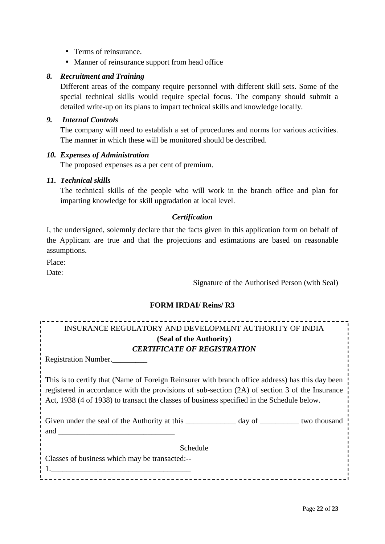- Terms of reinsurance.
- Manner of reinsurance support from head office

### *8. Recruitment and Training*

Different areas of the company require personnel with different skill sets. Some of the special technical skills would require special focus. The company should submit a detailed write-up on its plans to impart technical skills and knowledge locally.

## *9. Internal Controls*

The company will need to establish a set of procedures and norms for various activities. The manner in which these will be monitored should be described.

#### *10. Expenses of Administration*

The proposed expenses as a per cent of premium.

#### *11. Technical skills*

The technical skills of the people who will work in the branch office and plan for imparting knowledge for skill upgradation at local level.

## *Certification*

I, the undersigned, solemnly declare that the facts given in this application form on behalf of the Applicant are true and that the projections and estimations are based on reasonable assumptions.

Place:

Date:

Signature of the Authorised Person (with Seal)

# **FORM IRDAI/ Reins/ R3**

| INSURANCE REGULATORY AND DEVELOPMENT AUTHORITY OF INDIA                                          |  |
|--------------------------------------------------------------------------------------------------|--|
| (Seal of the Authority)                                                                          |  |
| <b>CERTIFICATE OF REGISTRATION</b>                                                               |  |
| Registration Number.                                                                             |  |
|                                                                                                  |  |
| This is to certify that (Name of Foreign Reinsurer with branch office address) has this day been |  |
| registered in accordance with the provisions of sub-section (2A) of section 3 of the Insurance   |  |
| Act, 1938 (4 of 1938) to transact the classes of business specified in the Schedule below.       |  |
|                                                                                                  |  |
|                                                                                                  |  |
|                                                                                                  |  |
| Schedule                                                                                         |  |
| Classes of business which may be transacted:--                                                   |  |
|                                                                                                  |  |
|                                                                                                  |  |